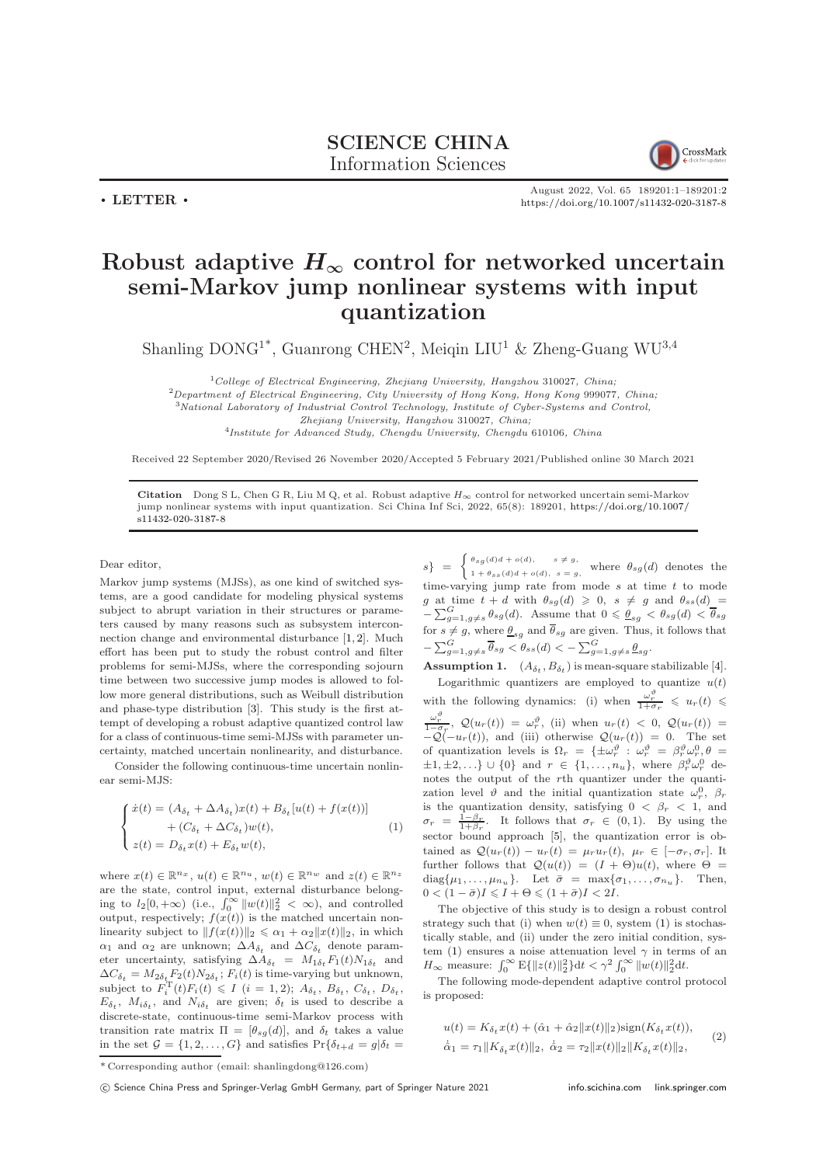

August 2022, Vol. 65 189201:1–189201[:2](#page-1-0) <https://doi.org/10.1007/s11432-020-3187-8>

## Robust adaptive  $H_{\infty}$  control for networked uncertain semi-Markov jump nonlinear systems with input quantization

Shanling  $DOMG^{1*}$ , Guanrong CHEN<sup>2</sup>, Meiqin LIU<sup>1</sup> & Zheng-Guang WU<sup>3,4</sup>

 $1$ College of Electrical Engineering, Zhejiang University, Hangzhou 310027, China; <sup>2</sup>Department of Electrical Engineering, City University of Hong Kong, Hong Kong 999077, China; <sup>3</sup>National Laboratory of Industrial Control Technology, Institute of Cyber-Systems and Control, Zhejiang University, Hangzhou 310027, China; <sup>4</sup>Institute for Advanced Study, Chengdu University, Chengdu 610106, China

Received 22 September 2020/Revised 26 November 2020/Accepted 5 February 2021/Published online 30 March 2021

Citation Dong S L, Chen G R, Liu M Q, et al. Robust adaptive  $H_{\infty}$  control for networked uncertain semi-Markov jump nonlinear systems with input quantization. Sci China Inf Sci, 2022, 65(8): 189201, [https://doi.org/10.1007/](https://doi.org/10.1007/s11432-020-3187-8) [s11432-020-3187-8](https://doi.org/10.1007/s11432-020-3187-8)

Dear editor,

 $\cdot$  LETTER  $\cdot$ 

Markov jump systems (MJSs), as one kind of switched systems, are a good candidate for modeling physical systems subject to abrupt variation in their structures or parameters caused by many reasons such as subsystem interconnection change and environmental disturbance [\[1,](#page-1-1) [2\]](#page-1-2). Much effort has been put to study the robust control and filter problems for semi-MJSs, where the corresponding sojourn time between two successive jump modes is allowed to follow more general distributions, such as Weibull distribution and phase-type distribution [\[3\]](#page-1-3). This study is the first attempt of developing a robust adaptive quantized control law for a class of continuous-time semi-MJSs with parameter uncertainty, matched uncertain nonlinearity, and disturbance.

Consider the following continuous-time uncertain nonlinear semi-MJS:

<span id="page-0-0"></span>
$$
\begin{cases}\n\dot{x}(t) = (A_{\delta_t} + \Delta A_{\delta_t})x(t) + B_{\delta_t}[u(t) + f(x(t))] \\
+ (C_{\delta_t} + \Delta C_{\delta_t})w(t), \\
z(t) = D_{\delta_t}x(t) + E_{\delta_t}w(t),\n\end{cases}
$$
\n(1)

where  $x(t) \in \mathbb{R}^{n_x}$ ,  $u(t) \in \mathbb{R}^{n_u}$ ,  $w(t) \in \mathbb{R}^{n_w}$  and  $z(t) \in \mathbb{R}^{n_z}$ are the state, control input, external disturbance belonging to  $l_2[0, +\infty)$  (i.e.,  $\int_0^\infty ||w(t)||_2^2 < \infty$ ), and controlled output, respectively;  $f(x(t))$  is the matched uncertain nonlinearity subject to  $||f(x(t))||_2 \le \alpha_1 + \alpha_2 ||x(t)||_2$ , in which  $\alpha_1$  and  $\alpha_2$  are unknown;  $\Delta A_{\delta_t}$  and  $\Delta C_{\delta_t}$  denote parameter uncertainty, satisfying  $\Delta A_{\delta_t} = M_{1\delta_t} F_1(t) N_{1\delta_t}$  and  $\Delta C_{\delta_t} = M_{2\delta_t} F_2(t) N_{2\delta_t}$ ;  $F_i(t)$  is time-varying but unknown, subject to  $F_i^{\mathrm{T}}(t)F_i(t) \leqslant I$   $(i = 1, 2)$ ;  $A_{\delta_t}, B_{\delta_t}, C_{\delta_t}, D_{\delta_t}$ ,  $E_{\delta_t}$ ,  $M_{i\delta_t}$ , and  $N_{i\delta_t}$  are given;  $\delta_t$  is used to describe a discrete-state, continuous-time semi-Markov process with transition rate matrix  $\Pi = [\theta_{sg}(d)]$ , and  $\delta_t$  takes a value in the set  $\mathcal{G} = \{1, 2, ..., G\}$  and satisfies  $\Pr{\delta_{t+d} = g | \delta_t = \delta_t}$ 

 $s\}$  =  $\begin{cases} \theta_{sg}(d)d + o(d), & s \neq g, \\ 1 + \theta_{sg}(d)d + o(d), & s = g, \end{cases}$  $1 + \theta_{ss}(d)d + o(d), s = g,$  where  $\theta_{sg}(d)$  denotes the time-varying jump rate from mode  $s$  at time  $t$  to mode g at time  $t + d$  with  $\theta_{sg}(d) \geq 0$ ,  $s \neq g$  and  $\theta_{ss}(d)$  =  $-\sum_{g=1,g\neq s}^{G} \theta_{sg}(d)$ . Assume that  $0 \leq \underline{\theta}_{sg} < \theta_{sg}(d) < \overline{\theta}_{sg}$ for  $s \neq g$ , where  $\underline{\theta}_{sg}$  and  $\theta_{sg}$  are given. Thus, it follows that  $-\sum_{g=1,g\neq s}^{G} \overline{\theta}_{sg} < \theta_{ss}(d) < -\sum_{g=1,g\neq s}^{G} \underline{\theta}_{sg}.$ 

**Assumption 1.**  $(A_{\delta_t}, B_{\delta_t})$  is mean-square stabilizable [\[4\]](#page-1-4).

Logarithmic quantizers are employed to quantize  $u(t)$ with the following dynamics: (i) when  $\frac{\omega_r^{\phi}}{1+\sigma_r} \leq u_r(t) \leq$  $\frac{\omega_r^{\vartheta}}{1-\sigma_r}, \ \mathcal{Q}(u_r(t)) = \omega_r^{\vartheta}, \ \text{(ii) when } u_r(t) < 0, \ \mathcal{Q}(u_r(t)) =$  $-Q(-u_r(t))$ , and (iii) otherwise  $Q(u_r(t)) = 0$ . The set of quantization levels is  $\Omega_r = {\pm \omega_r^{\vartheta}} : \omega_r^{\vartheta} = \beta_r^{\vartheta} \omega_r^0, \theta =$  $\pm 1, \pm 2, \ldots \} \cup \{0\}$  and  $r \in \{1, \ldots, n_u\}$ , where  $\beta_r^{\vartheta} \omega_r^0$  denotes the output of the rth quantizer under the quantization level  $\vartheta$  and the initial quantization state  $\omega_r^0$ ,  $\beta_r$ is the quantization density, satisfying  $0 < \beta_r < 1$ , and  $\sigma_r = \frac{1-\beta_r}{1+\beta_r}$ . It follows that  $\sigma_r \in (0,1)$ . By using the sector bound approach [\[5\]](#page-1-5), the quantization error is obtained as  $\mathcal{Q}(u_r(t)) - u_r(t) = \mu_r u_r(t), \mu_r \in [-\sigma_r, \sigma_r].$  It further follows that  $\mathcal{Q}(u(t)) = (I + \Theta)u(t)$ , where  $\Theta =$  $diag{\mu_1, \ldots, \mu_{n_u}}$ . Let  $\bar{\sigma} = \max{\sigma_1, \ldots, \sigma_{n_u}}$ . Then,  $0 < (1 - \bar{\sigma})I \leqslant I + \Theta \leqslant (1 + \bar{\sigma})I < 2I.$ 

The objective of this study is to design a robust control strategy such that (i) when  $w(t) \equiv 0$ , system [\(1\)](#page-0-0) is stochastically stable, and (ii) under the zero initial condition, sys-tem [\(1\)](#page-0-0) ensures a noise attenuation level  $\gamma$  in terms of an  $H_{\infty}$  measure:  $\int_{0}^{\infty} E\{||z(t)||_{2}^{2}\}dt < \gamma^{2} \int_{0}^{\infty} ||w(t)||_{2}^{2}dt$ .

The following mode-dependent adaptive control protocol is proposed:

<span id="page-0-1"></span>
$$
u(t) = K_{\delta_t} x(t) + (\hat{\alpha}_1 + \hat{\alpha}_2 ||x(t)||_2) \text{sign}(K_{\delta_t} x(t)),
$$
  
\n
$$
\dot{\hat{\alpha}}_1 = \tau_1 ||K_{\delta_t} x(t)||_2, \ \dot{\hat{\alpha}}_2 = \tau_2 ||x(t)||_2 ||K_{\delta_t} x(t)||_2,
$$
\n(2)

<sup>\*</sup> Corresponding author (email: shanlingdong@126.com)

c Science China Press and Springer-Verlag GmbH Germany, part of Springer Nature 2021 <info.scichina.com><link.springer.com>